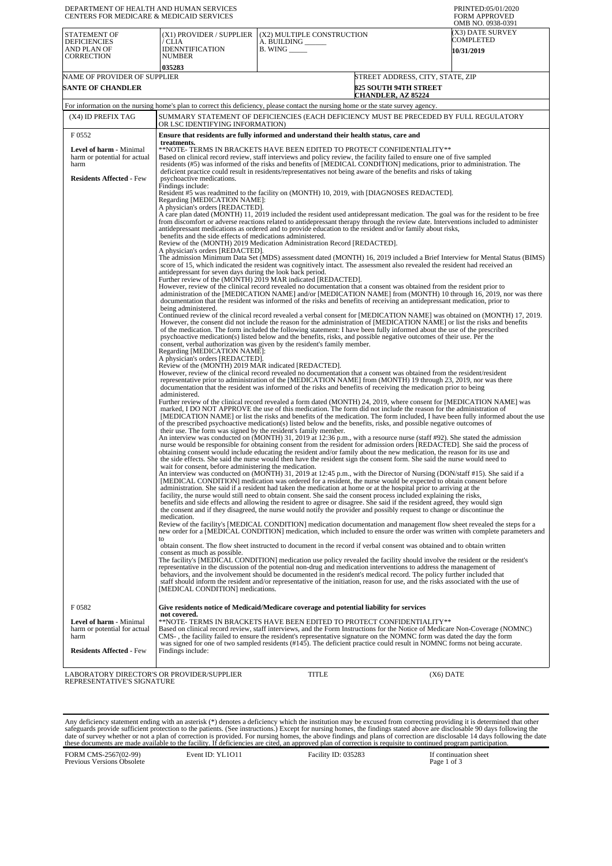| DEPARTMENT OF HEALTH AND HUMAN SERVICES<br>CENTERS FOR MEDICARE & MEDICAID SERVICES |                                                                                                                                                                                                                                                                                                                                                                                                                                                                                                                                                                                                                          |                                                                    |                                                                                               | PRINTED:05/01/2020<br><b>FORM APPROVED</b><br>OMB NO. 0938-0391 |
|-------------------------------------------------------------------------------------|--------------------------------------------------------------------------------------------------------------------------------------------------------------------------------------------------------------------------------------------------------------------------------------------------------------------------------------------------------------------------------------------------------------------------------------------------------------------------------------------------------------------------------------------------------------------------------------------------------------------------|--------------------------------------------------------------------|-----------------------------------------------------------------------------------------------|-----------------------------------------------------------------|
| STATEMENT OF<br><b>DEFICIENCIES</b><br>AND PLAN OF<br>CORRECTION                    | (X1) PROVIDER / SUPPLIER<br>/ CLIA<br><b>IDENNTIFICATION</b><br><b>NUMBER</b><br>035283                                                                                                                                                                                                                                                                                                                                                                                                                                                                                                                                  | (X2) MULTIPLE CONSTRUCTION<br>A. BUILDING<br><b>B.</b> WING ______ |                                                                                               | (X3) DATE SURVEY<br>COMPLETED<br>10/31/2019                     |
| NAME OF PROVIDER OF SUPPLIER<br><b>SANTE OF CHANDLER</b>                            |                                                                                                                                                                                                                                                                                                                                                                                                                                                                                                                                                                                                                          |                                                                    | STREET ADDRESS, CITY, STATE, ZIP<br><b>825 SOUTH 94TH STREET</b><br><b>CHANDLER, AZ 85224</b> |                                                                 |
|                                                                                     | For information on the nursing home's plan to correct this deficiency, please contact the nursing home or the state survey agency.                                                                                                                                                                                                                                                                                                                                                                                                                                                                                       |                                                                    |                                                                                               |                                                                 |
| (X4) ID PREFIX TAG                                                                  | SUMMARY STATEMENT OF DEFICIENCIES (EACH DEFICIENCY MUST BE PRECEDED BY FULL REGULATORY<br>OR LSC IDENTIFYING INFORMATION)                                                                                                                                                                                                                                                                                                                                                                                                                                                                                                |                                                                    |                                                                                               |                                                                 |
| F 0552                                                                              | Ensure that residents are fully informed and understand their health status, care and<br>treatments.                                                                                                                                                                                                                                                                                                                                                                                                                                                                                                                     |                                                                    |                                                                                               |                                                                 |
| <b>Level of harm - Minimal</b>                                                      | **NOTE- TERMS IN BRACKETS HAVE BEEN EDITED TO PROTECT CONFIDENTIALITY**                                                                                                                                                                                                                                                                                                                                                                                                                                                                                                                                                  |                                                                    |                                                                                               |                                                                 |
| harm or potential for actual<br>harm                                                | Based on clinical record review, staff interviews and policy review, the facility failed to ensure one of five sampled<br>residents (#5) was informed of the risks and benefits of [MEDICAL CONDITION] medications, prior to administration. The                                                                                                                                                                                                                                                                                                                                                                         |                                                                    |                                                                                               |                                                                 |
| <b>Residents Affected - Few</b>                                                     | deficient practice could result in residents/representatives not being aware of the benefits and risks of taking<br>psychoactive medications.<br>Findings include:                                                                                                                                                                                                                                                                                                                                                                                                                                                       |                                                                    |                                                                                               |                                                                 |
|                                                                                     | Resident #5 was readmitted to the facility on (MONTH) 10, 2019, with [DIAGNOSES REDACTED].<br>Regarding [MEDICATION NAME]:<br>A physician's orders [REDACTED].                                                                                                                                                                                                                                                                                                                                                                                                                                                           |                                                                    |                                                                                               |                                                                 |
|                                                                                     | A care plan dated (MONTH) 11, 2019 included the resident used antidepressant medication. The goal was for the resident to be free<br>from discomfort or adverse reactions related to antidepressant therapy through the review date. Interventions included to administer<br>antidepressant medications as ordered and to provide education to the resident and/or family about risks,                                                                                                                                                                                                                                   |                                                                    |                                                                                               |                                                                 |
|                                                                                     | benefits and the side effects of medications administered.<br>Review of the (MONTH) 2019 Medication Administration Record [REDACTED].                                                                                                                                                                                                                                                                                                                                                                                                                                                                                    |                                                                    |                                                                                               |                                                                 |
|                                                                                     | A physician's orders [REDACTED].<br>The admission Minimum Data Set (MDS) assessment dated (MONTH) 16, 2019 included a Brief Interview for Mental Status (BIMS)<br>score of 15, which indicated the resident was cognitively intact. The assessment also revealed the resident had received an<br>antidepressant for seven days during the look back period.                                                                                                                                                                                                                                                              |                                                                    |                                                                                               |                                                                 |
|                                                                                     | Further review of the (MONTH) 2019 MAR indicated [REDACTED].<br>However, review of the clinical record revealed no documentation that a consent was obtained from the resident prior to                                                                                                                                                                                                                                                                                                                                                                                                                                  |                                                                    |                                                                                               |                                                                 |
|                                                                                     | administration of the [MEDICATION NAME] and/or [MEDICATION NAME] from (MONTH) 10 through 16, 2019, nor was there<br>documentation that the resident was informed of the risks and benefits of receiving an antidepressant medication, prior to<br>being administered.                                                                                                                                                                                                                                                                                                                                                    |                                                                    |                                                                                               |                                                                 |
|                                                                                     | Continued review of the clinical record revealed a verbal consent for [MEDICATION NAME] was obtained on (MONTH) 17, 2019.<br>However, the consent did not include the reason for the administration of [MEDICATION NAME] or list the risks and benefits<br>of the medication. The form included the following statement: I have been fully informed about the use of the prescribed<br>psychoactive medication(s) listed below and the benefits, risks, and possible negative outcomes of their use. Per the<br>consent, verbal authorization was given by the resident's family member.<br>Regarding [MEDICATION NAME]: |                                                                    |                                                                                               |                                                                 |
|                                                                                     | A physician's orders [REDACTED].<br>Review of the (MONTH) 2019 MAR indicated [REDACTED].<br>However, review of the clinical record revealed no documentation that a consent was obtained from the resident/resident<br>representative prior to administration of the [MEDICATION NAME] from (MONTH) 19 through 23, 2019, nor was there<br>documentation that the resident was informed of the risks and benefits of receiving the medication prior to being                                                                                                                                                              |                                                                    |                                                                                               |                                                                 |
|                                                                                     | administered.<br>Further review of the clinical record revealed a form dated (MONTH) 24, 2019, where consent for [MEDICATION NAME] was<br>marked, I DO NOT APPROVE the use of this medication. The form did not include the reason for the administration of<br>[MEDICATION NAME] or list the risks and benefits of the medication. The form included, I have been fully informed about the use<br>of the prescribed psychoactive medication(s) listed below and the benefits, risks, and possible negative outcomes of<br>their use. The form was signed by the resident's family member.                               |                                                                    |                                                                                               |                                                                 |
|                                                                                     | An interview was conducted on (MONTH) 31, 2019 at 12:36 p.m., with a resource nurse (staff #92). She stated the admission<br>nurse would be responsible for obtaining consent from the resident for admission orders [REDACTED]. She said the process of<br>obtaining consent would include educating the resident and/or family about the new medication, the reason for its use and<br>the side effects. She said the nurse would then have the resident sign the consent form. She said the nurse would need to<br>wait for consent, before administering the medication.                                             |                                                                    |                                                                                               |                                                                 |
|                                                                                     | An interview was conducted on (MONTH) 31, 2019 at 12:45 p.m., with the Director of Nursing (DON/staff #15). She said if a<br>[MEDICAL CONDITION] medication was ordered for a resident, the nurse would be expected to obtain consent before<br>administration. She said if a resident had taken the medication at home or at the hospital prior to arriving at the<br>facility, the nurse would still need to obtain consent. She said the consent process included explaining the risks,<br>benefits and side effects and allowing the resident to agree or disagree. She said if the resident agreed, they would sign |                                                                    |                                                                                               |                                                                 |
|                                                                                     | the consent and if they disagreed, the nurse would notify the provider and possibly request to change or discontinue the<br>medication.<br>Review of the facility's [MEDICAL CONDITION] medication documentation and management flow sheet revealed the steps for a                                                                                                                                                                                                                                                                                                                                                      |                                                                    |                                                                                               |                                                                 |
|                                                                                     | new order for a [MEDICAL CONDITION] medication, which included to ensure the order was written with complete parameters and<br>to<br>obtain consent. The flow sheet instructed to document in the record if verbal consent was obtained and to obtain written                                                                                                                                                                                                                                                                                                                                                            |                                                                    |                                                                                               |                                                                 |
|                                                                                     | consent as much as possible.<br>The facility's [MEDICAL CONDITION] medication use policy revealed the facility should involve the resident or the resident's<br>representative in the discussion of the potential non-drug and medication interventions to address the management of<br>behaviors, and the involvement should be documented in the resident's medical record. The policy further included that<br>staff should inform the resident and/or representative of the initiation, reason for use, and the risks associated with the use of<br>[MEDICAL CONDITION] medications.                                 |                                                                    |                                                                                               |                                                                 |
| F0582                                                                               | Give residents notice of Medicaid/Medicare coverage and potential liability for services<br>not covered.                                                                                                                                                                                                                                                                                                                                                                                                                                                                                                                 |                                                                    |                                                                                               |                                                                 |
| Level of harm - Minimal<br>harm or potential for actual<br>harm                     | **NOTE- TERMS IN BRACKETS HAVE BEEN EDITED TO PROTECT CONFIDENTIALITY**<br>Based on clinical record review, staff interviews, and the Form Instructions for the Notice of Medicare Non-Coverage (NOMNC)<br>CMS-, the facility failed to ensure the resident's representative signature on the NOMNC form was dated the day the form<br>was signed for one of two sampled residents (#145). The deficient practice could result in NOMNC forms not being accurate.                                                                                                                                                        |                                                                    |                                                                                               |                                                                 |
| <b>Residents Affected - Few</b>                                                     | Findings include:                                                                                                                                                                                                                                                                                                                                                                                                                                                                                                                                                                                                        |                                                                    |                                                                                               |                                                                 |

LABORATORY DIRECTOR'S OR PROVIDER/SUPPLIER REPRESENTATIVE'S SIGNATURE

TITLE (X6) DATE

Any deficiency statement ending with an asterisk (\*) denotes a deficiency which the institution may be excused from correcting providing it is determined that other safeguards provide sufficient protection to the patients.

| FORM CMS-2567(02-99)<br>Previous Versions Obsolete | Event ID: YL1011 | Facility ID: 035283 | If continuation sheet<br>Page 1 of 3 |
|----------------------------------------------------|------------------|---------------------|--------------------------------------|
|                                                    |                  |                     |                                      |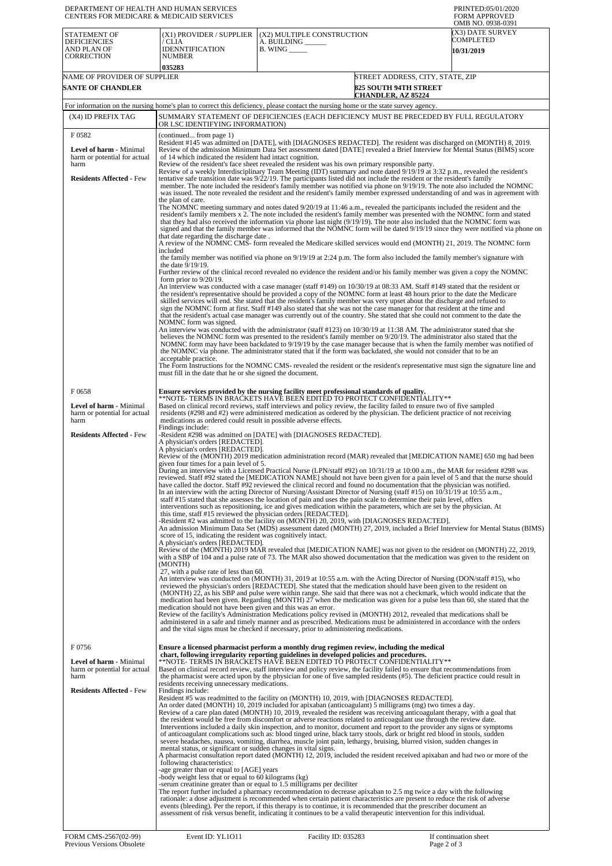| DEPARTMENT OF HEALTH AND HUMAN SERVICES<br><b>CENTERS FOR MEDICARE &amp; MEDICAID SERVICES</b>                     |                                                                                                                                                                                                                                                                                                                                                                                                                                                                                                                                                                                                                                                                                                                                                                                                                                                                                                                                               |                                                                                                                                                                                                                                                                                                                                                                                                                                                                                                                                                                                                                                                                                                                                                                                                                                                                                                                                                                                                                                                                                                                                                                                                                                                                                                                                                                                                                                                                                                                                                                                                                                                                                                                                                                                                                                                                                                                                                                                                                                                                                                                                                                                                                                                                                                                       | PRINTED:05/01/2020<br><b>FORM APPROVED</b>                       |  |
|--------------------------------------------------------------------------------------------------------------------|-----------------------------------------------------------------------------------------------------------------------------------------------------------------------------------------------------------------------------------------------------------------------------------------------------------------------------------------------------------------------------------------------------------------------------------------------------------------------------------------------------------------------------------------------------------------------------------------------------------------------------------------------------------------------------------------------------------------------------------------------------------------------------------------------------------------------------------------------------------------------------------------------------------------------------------------------|-----------------------------------------------------------------------------------------------------------------------------------------------------------------------------------------------------------------------------------------------------------------------------------------------------------------------------------------------------------------------------------------------------------------------------------------------------------------------------------------------------------------------------------------------------------------------------------------------------------------------------------------------------------------------------------------------------------------------------------------------------------------------------------------------------------------------------------------------------------------------------------------------------------------------------------------------------------------------------------------------------------------------------------------------------------------------------------------------------------------------------------------------------------------------------------------------------------------------------------------------------------------------------------------------------------------------------------------------------------------------------------------------------------------------------------------------------------------------------------------------------------------------------------------------------------------------------------------------------------------------------------------------------------------------------------------------------------------------------------------------------------------------------------------------------------------------------------------------------------------------------------------------------------------------------------------------------------------------------------------------------------------------------------------------------------------------------------------------------------------------------------------------------------------------------------------------------------------------------------------------------------------------------------------------------------------------|------------------------------------------------------------------|--|
| STATEMENT OF<br><b>DEFICIENCIES</b><br>AND PLAN OF<br><b>CORRECTION</b>                                            | (X1) PROVIDER / SUPPLIER<br>/ CLIA<br>IDENNTIFICATION<br><b>NUMBER</b><br>035283                                                                                                                                                                                                                                                                                                                                                                                                                                                                                                                                                                                                                                                                                                                                                                                                                                                              | (X2) MULTIPLE CONSTRUCTION<br>A. BUILDING<br>$B.$ WING $\_\_\_\_\_\_\_\$                                                                                                                                                                                                                                                                                                                                                                                                                                                                                                                                                                                                                                                                                                                                                                                                                                                                                                                                                                                                                                                                                                                                                                                                                                                                                                                                                                                                                                                                                                                                                                                                                                                                                                                                                                                                                                                                                                                                                                                                                                                                                                                                                                                                                                              | OMB NO. 0938-0391<br>(X3) DATE SURVEY<br>COMPLETED<br>10/31/2019 |  |
| NAME OF PROVIDER OF SUPPLIER<br><b>SANTE OF CHANDLER</b>                                                           |                                                                                                                                                                                                                                                                                                                                                                                                                                                                                                                                                                                                                                                                                                                                                                                                                                                                                                                                               | STREET ADDRESS, CITY, STATE, ZIP<br><b>825 SOUTH 94TH STREET</b><br><b>CHANDLER, AZ 85224</b>                                                                                                                                                                                                                                                                                                                                                                                                                                                                                                                                                                                                                                                                                                                                                                                                                                                                                                                                                                                                                                                                                                                                                                                                                                                                                                                                                                                                                                                                                                                                                                                                                                                                                                                                                                                                                                                                                                                                                                                                                                                                                                                                                                                                                         |                                                                  |  |
| (X4) ID PREFIX TAG                                                                                                 |                                                                                                                                                                                                                                                                                                                                                                                                                                                                                                                                                                                                                                                                                                                                                                                                                                                                                                                                               | For information on the nursing home's plan to correct this deficiency, please contact the nursing home or the state survey agency.<br>SUMMARY STATEMENT OF DEFICIENCIES (EACH DEFICIENCY MUST BE PRECEDED BY FULL REGULATORY                                                                                                                                                                                                                                                                                                                                                                                                                                                                                                                                                                                                                                                                                                                                                                                                                                                                                                                                                                                                                                                                                                                                                                                                                                                                                                                                                                                                                                                                                                                                                                                                                                                                                                                                                                                                                                                                                                                                                                                                                                                                                          |                                                                  |  |
| F0582                                                                                                              | OR LSC IDENTIFYING INFORMATION)<br>(continued from page 1)                                                                                                                                                                                                                                                                                                                                                                                                                                                                                                                                                                                                                                                                                                                                                                                                                                                                                    |                                                                                                                                                                                                                                                                                                                                                                                                                                                                                                                                                                                                                                                                                                                                                                                                                                                                                                                                                                                                                                                                                                                                                                                                                                                                                                                                                                                                                                                                                                                                                                                                                                                                                                                                                                                                                                                                                                                                                                                                                                                                                                                                                                                                                                                                                                                       |                                                                  |  |
| Level of harm - Minimal<br>harm or potential for actual<br>harm<br><b>Residents Affected - Few</b>                 | Resident #145 was admitted on [DATE], with [DIAGNOSES REDACTED]. The resident was discharged on (MONTH) 8, 2019.<br>Review of the admission Minimum Data Set assessment dated [DATE] revealed a Brief Interview for Mental Status (BIMS) score<br>of 14 which indicated the resident had intact cognition.<br>Review of the resident's face sheet revealed the resident was his own primary responsible party.<br>Review of a weekly Interdisciplinary Team Meeting (IDT) summary and note dated 9/19/19 at 3:32 p.m., revealed the resident's<br>tentative safe transition date was 9/22/19. The participants listed did not include the resident or the resident's family<br>member. The note included the resident's family member was notified via phone on 9/19/19. The note also included the NOMNC<br>was issued. The note revealed the resident and the resident's family member expressed understanding of and was in agreement with |                                                                                                                                                                                                                                                                                                                                                                                                                                                                                                                                                                                                                                                                                                                                                                                                                                                                                                                                                                                                                                                                                                                                                                                                                                                                                                                                                                                                                                                                                                                                                                                                                                                                                                                                                                                                                                                                                                                                                                                                                                                                                                                                                                                                                                                                                                                       |                                                                  |  |
|                                                                                                                    | the plan of care.<br>that date regarding the discharge date.<br>included<br>the date 9/19/19.<br>form prior to $9/20/19$ .<br>NOMNC form was signed.                                                                                                                                                                                                                                                                                                                                                                                                                                                                                                                                                                                                                                                                                                                                                                                          | The NOMNC meeting summary and notes dated 9/20/19 at 11:46 a.m., revealed the participants included the resident and the<br>resident's family members x 2. The note included the resident's family member was presented with the NOMNC form and stated<br>that they had also received the information via phone last night $(9/19/19)$ . The note also included that the NOMNC form was<br>signed and that the family member was informed that the NOMNC form will be dated 9/19/19 since they were notified via phone on<br>A review of the NOMNC CMS- form revealed the Medicare skilled services would end (MONTH) 21, 2019. The NOMNC form<br>the family member was notified via phone on 9/19/19 at 2:24 p.m. The form also included the family member's signature with<br>Further review of the clinical record revealed no evidence the resident and/or his family member was given a copy the NOMNC<br>An interview was conducted with a case manager (staff #149) on 10/30/19 at 08:33 AM. Staff #149 stated that the resident or<br>the resident's representative should be provided a copy of the NOMNC form at least 48 hours prior to the date the Medicare<br>skilled services will end. She stated that the resident's family member was very upset about the discharge and refused to<br>sign the NOMNC form at first. Staff #149 also stated that she was not the case manager for that resident at the time and<br>that the resident's actual case manager was currently out of the country. She stated that she could not comment to the date the<br>An interview was conducted with the administrator (staff #123) on 10/30/19 at 11:38 AM. The administrator stated that she<br>believes the NOMNC form was presented to the resident's family member on 9/20/19. The administrator also stated that the<br>NOMNC form may have been backdated to 9/19/19 by the case manager because that is when the family member was notified of<br>the NOMNC via phone. The administrator stated that if the form was backdated, she would not consider that to be an                                                                                                                                                                                                                                       |                                                                  |  |
|                                                                                                                    | acceptable practice.<br>must fill in the date that he or she signed the document.                                                                                                                                                                                                                                                                                                                                                                                                                                                                                                                                                                                                                                                                                                                                                                                                                                                             | The Form Instructions for the NOMNC CMS- revealed the resident or the resident's representative must sign the signature line and                                                                                                                                                                                                                                                                                                                                                                                                                                                                                                                                                                                                                                                                                                                                                                                                                                                                                                                                                                                                                                                                                                                                                                                                                                                                                                                                                                                                                                                                                                                                                                                                                                                                                                                                                                                                                                                                                                                                                                                                                                                                                                                                                                                      |                                                                  |  |
| F0658<br>Level of harm - Minimal<br>harm or potential for actual<br>harm                                           | medications as ordered could result in possible adverse effects.<br>Findings include:                                                                                                                                                                                                                                                                                                                                                                                                                                                                                                                                                                                                                                                                                                                                                                                                                                                         | Ensure services provided by the nursing facility meet professional standards of quality.<br>**NOTE- TERMS IN BRAČKETS HAVĒ BEEN EDITĒD TO PROTECT CONFIDENTIALITY**<br>Based on clinical record reviews, staff interviews and policy review, the facility failed to ensure two of five sampled<br>residents (#298 and #2) were administered medication as ordered by the physician. The deficient practice of not receiving                                                                                                                                                                                                                                                                                                                                                                                                                                                                                                                                                                                                                                                                                                                                                                                                                                                                                                                                                                                                                                                                                                                                                                                                                                                                                                                                                                                                                                                                                                                                                                                                                                                                                                                                                                                                                                                                                           |                                                                  |  |
| <b>Residents Affected - Few</b>                                                                                    | A physician's orders [REDACTED].<br>A physician's orders [REDACTED].<br>given four times for a pain level of 5.<br>this time, staff #15 reviewed the physician orders [REDACTED].<br>score of 15, indicating the resident was cognitively intact.<br>A physician's orders [REDACTED].<br>(MONTH)<br>27, with a pulse rate of less than 60.<br>medication should not have been given and this was an error.                                                                                                                                                                                                                                                                                                                                                                                                                                                                                                                                    | -Resident #298 was admitted on [DATE] with [DIAGNOSES REDACTED].<br>Review of the (MONTH) 2019 medication administration record (MAR) revealed that [MEDICATION NAME] 650 mg had been<br>During an interview with a Licensed Practical Nurse (LPN/staff #92) on 10/31/19 at 10:00 a.m., the MAR for resident #298 was<br>reviewed. Staff #92 stated the [MEDICATION NAME] should not have been given for a pain level of 5 and that the nurse should<br>have called the doctor. Staff #92 reviewed the clinical record and found no documentation that the physician was notified.<br>In an interview with the acting Director of Nursing/Assistant Director of Nursing (staff #15) on $10/31/19$ at $10:55$ a.m.,<br>staff #15 stated that she assesses the location of pain and uses the pain scale to determine their pain level, offers<br>interventions such as repositioning, ice and gives medication within the parameters, which are set by the physician. At<br>-Resident #2 was admitted to the facility on (MONTH) 20, 2019, with [DIAGNOSES REDACTED].<br>An admission Minimum Data Set (MDS) assessment dated (MONTH) 27, 2019, included a Brief Interview for Mental Status (BIMS)<br>Review of the (MONTH) 2019 MAR revealed that [MEDICATION NAME] was not given to the resident on (MONTH) 22, 2019,<br>with a SBP of 104 and a pulse rate of 73. The MAR also showed documentation that the medication was given to the resident on<br>An interview was conducted on (MONTH) 31, 2019 at 10:55 a.m. with the Acting Director of Nursing (DON/staff #15), who<br>reviewed the physician's orders [REDACTED]. She stated that the medication should have been given to the resident on<br>(MONTH) 22, as his SBP and pulse were within range. She said that there was not a checkmark, which would indicate that the<br>medication had been given. Regarding (MONTH) 27 when the medication was given for a pulse less than 60, she stated that the<br>Review of the facility's Administration Medications policy revised in (MONTH) 2012, revealed that medications shall be<br>administered in a safe and timely manner and as prescribed. Medications must be administered in accordance with the orders<br>and the vital signs must be checked if necessary, prior to administering medications. |                                                                  |  |
| F0756<br><b>Level of harm - Minimal</b><br>harm or potential for actual<br>harm<br><b>Residents Affected - Few</b> | residents receiving unnecessary medications.<br>Findings include:<br>mental status, or significant or sudden changes in vital signs.<br>following characteristics:<br>-age greater than or equal to [AGE] years<br>-body weight less that or equal to 60 kilograms (kg)                                                                                                                                                                                                                                                                                                                                                                                                                                                                                                                                                                                                                                                                       | Ensure a licensed pharmacist perform a monthly drug regimen review, including the medical<br>chart, following irregularity reporting guidelines in developed policies and procedures.<br>**NOTE- TERMS IN BRACKETS HAVE BEEN EDITED TO PROTECT CONFIDENTIALITY**<br>Based on clinical record review, staff interview and policy review, the facility failed to ensure that recommendations from<br>the pharmacist were acted upon by the physician for one of five sampled residents $(\#5)$ . The deficient practice could result in<br>Resident #5 was readmitted to the facility on (MONTH) 10, 2019, with [DIAGNOSES REDACTED].<br>An order dated (MONTH) 10, 2019 included for apixaban (anticoagulant) 5 milligrams (mg) two times a day.<br>Review of a care plan dated (MONTH) 10, 2019, revealed the resident was receiving anticoagulant therapy, with a goal that<br>the resident would be free from discomfort or adverse reactions related to anticoagulant use through the review date.<br>Interventions included a daily skin inspection, and to monitor, document and report to the provider any signs or symptoms<br>of anticoagulant complications such as: blood tinged urine, black tarry stools, dark or bright red blood in stools, sudden<br>severe headaches, nausea, vomiting, diarrhea, muscle joint pain, lethargy, bruising, blurred vision, sudden changes in<br>A pharmacist consultation report dated (MONTH) 12, 2019, included the resident received apixaban and had two or more of the<br>-serum creatinine greater than or equal to 1.5 milligrams per deciliter<br>The report further included a pharmacy recommendation to decrease apixaban to 2.5 mg twice a day with the following<br>rationale: a dose adjustment is recommended when certain patient characteristics are present to reduce the risk of adverse<br>events (bleeding). Per the report, if this therapy is to continue, it is recommended that the prescriber document an<br>assessment of risk versus benefit, indicating it continues to be a valid therapeutic intervention for this individual.                                                                                                                                                                                                           |                                                                  |  |
| FORM CMS-2567(02-99)                                                                                               | Event ID: YL1011                                                                                                                                                                                                                                                                                                                                                                                                                                                                                                                                                                                                                                                                                                                                                                                                                                                                                                                              | Facility ID: 035283                                                                                                                                                                                                                                                                                                                                                                                                                                                                                                                                                                                                                                                                                                                                                                                                                                                                                                                                                                                                                                                                                                                                                                                                                                                                                                                                                                                                                                                                                                                                                                                                                                                                                                                                                                                                                                                                                                                                                                                                                                                                                                                                                                                                                                                                                                   | If continuation sheet                                            |  |